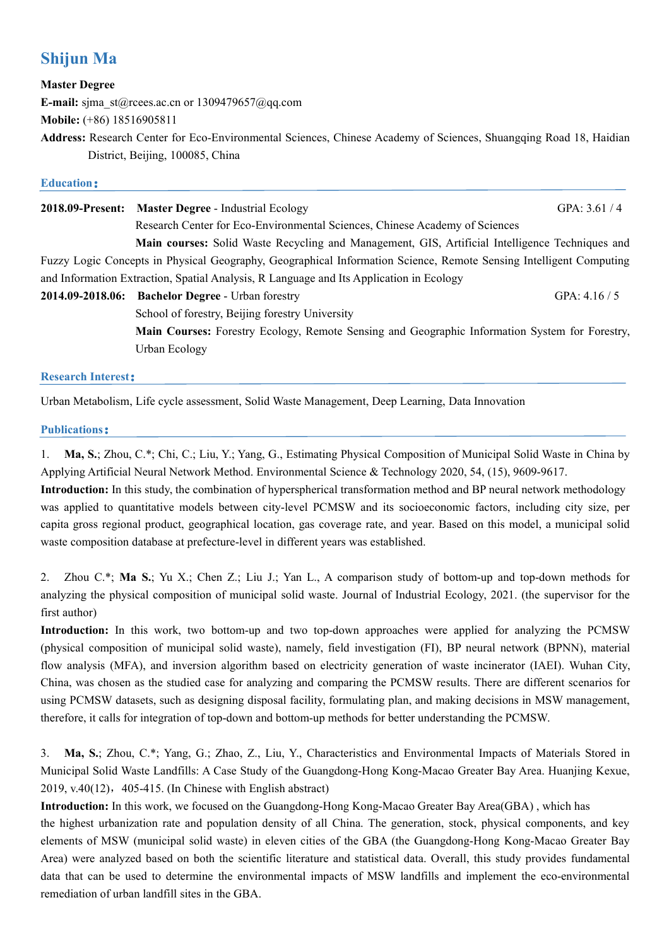# **Shijun Ma**

#### **Master Degree**

**E-mail:** sjma\_st@rcees.ac.cn or 1309479657@qq.com

Urban Ecology

**Mobile:** (+86) 18516905811

**Address:** Research Center for Eco-Environmental Sciences, Chinese Academy of Sciences, Shuangqing Road 18, Haidian District, Beijing, 100085, China

## **Education: Exercise 2008**

| 2018.09-Present: Master Degree - Industrial Ecology                                                                | GPA: $3.61 / 4$ |
|--------------------------------------------------------------------------------------------------------------------|-----------------|
| Research Center for Eco-Environmental Sciences, Chinese Academy of Sciences                                        |                 |
| Main courses: Solid Waste Recycling and Management, GIS, Artificial Intelligence Techniques and                    |                 |
| Fuzzy Logic Concepts in Physical Geography, Geographical Information Science, Remote Sensing Intelligent Computing |                 |
| and Information Extraction, Spatial Analysis, R Language and Its Application in Ecology                            |                 |
| 2014.09-2018.06: Bachelor Degree - Urban forestry                                                                  | GPA: $4.16 / 5$ |
| School of forestry, Beijing forestry University                                                                    |                 |
| Main Courses: Forestry Ecology, Remote Sensing and Geographic Information System for Forestry,                     |                 |
|                                                                                                                    |                 |

**Research Interest**:

Urban Metabolism, Life cycle assessment, Solid Waste Management, Deep Learning, Data Innovation

#### **Publications**:

1. **Ma, S.**; Zhou, C.\*; Chi, C.; Liu, Y.; Yang, G., Estimating Physical Composition of Municipal Solid Waste in China by Applying Artificial Neural Network Method. Environmental Science & Technology 2020, 54, (15), 9609-9617.

**Introduction:** In this study, the combination of hyperspherical transformation method and BP neural network methodology was applied to quantitative models between city-level PCMSW and its socioeconomic factors, including city size, per capita gross regional product, geographical location, gas coverage rate, and year. Based on this model, a municipal solid waste composition database at prefecture-level in different years was established.

2. Zhou C.\*; **Ma S.**; Yu X.; Chen Z.; Liu J.; Yan L., A comparison study of bottom-up and top-down methods for analyzing the physical composition of municipal solid waste. Journal of Industrial Ecology, 2021. (the supervisor for the first author)

**Introduction:** In this work, two bottom-up and two top-down approaches were applied for analyzing the PCMSW (physical composition of municipal solid waste), namely, field investigation (FI), BP neural network (BPNN), material flow analysis (MFA), and inversion algorithm based on electricity generation of waste incinerator (IAEI). Wuhan City, China, was chosen as the studied case for analyzing and comparing the PCMSW results. There are different scenarios for using PCMSW datasets, such as designing disposal facility, formulating plan, and making decisions in MSW management, therefore, it calls for integration of top-down and bottom-up methods for better understanding the PCMSW.

3. **Ma, S.**; Zhou, C.\*; Yang, G.; Zhao, Z., Liu, Y., Characteristics and Environmental Impacts of Materials Stored in Municipal Solid Waste Landfills: A Case Study of the Guangdong-Hong Kong-Macao Greater Bay Area. Huanjing Kexue, 2019, v.40 $(12)$ , 405-415. (In Chinese with English abstract)

**Introduction:** In this work, we focused on the Guangdong-Hong Kong-Macao Greater Bay Area(GBA) , which has the highest urbanization rate and population density of all China. The generation, stock, physical components, and key elements of MSW (municipal solid waste) in eleven cities of the GBA (the Guangdong-Hong Kong-Macao Greater Bay Area) were analyzed based on both the scientific literature and statistical data. Overall, this study provides fundamental data that can be used to determine the environmental impacts of MSW landfills and implement the eco-environmental remediation of urban landfill sites in the GBA.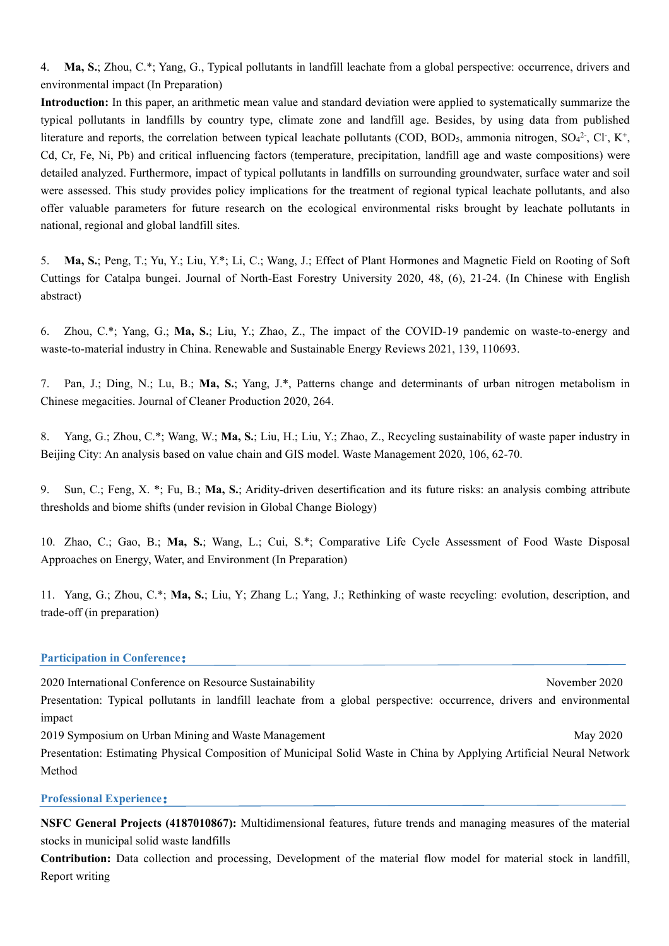4. **Ma, S.**; Zhou, C.\*; Yang, G., Typical pollutants in landfill leachate from a global perspective: occurrence, drivers and environmental impact (In Preparation)

**Introduction:** In this paper, an arithmetic mean value and standard deviation were applied to systematically summarize the typical pollutants in landfills by country type, climate zone and landfill age. Besides, by using data from published literature and reports, the correlation between typical leachate pollutants (COD, BOD<sub>5</sub>, ammonia nitrogen, SO<sub>4</sub><sup>2</sup>, Cl<sup>-</sup>, K<sup>+</sup>, , Cd, Cr, Fe, Ni, Pb) and critical influencing factors (temperature, precipitation, landfill age and waste compositions) were detailed analyzed. Furthermore, impact of typical pollutants in landfills on surrounding groundwater, surface water and soil were assessed. This study provides policy implications for the treatment of regional typical leachate pollutants, and also offer valuable parameters for future research on the ecological environmental risks brought by leachate pollutants in national, regional and global landfill sites.

5. **Ma, S.**; Peng, T.; Yu, Y.; Liu, Y.\*; Li, C.; Wang, J.; Effect of Plant Hormones and Magnetic Field on Rooting of Soft Cuttings for Catalpa bungei. Journal of North-East Forestry University 2020, 48, (6), 21-24. (In Chinese with English abstract)

6. Zhou, C.\*; Yang, G.; **Ma, S.**; Liu, Y.; Zhao, Z., The impactof the COVID-19 pandemic on waste-to-energy and waste-to-material industry in China. Renewable and Sustainable Energy Reviews 2021, 139, 110693.

7. Pan, J.; Ding, N.; Lu, B.; **Ma, S.**; Yang, J.\*, Patterns change and determinants of urban nitrogen metabolism in Chinese megacities. Journal of Cleaner Production 2020, 264.

8. Yang, G.; Zhou, C.\*; Wang, W.; **Ma, S.**; Liu, H.; Liu, Y.; Zhao, Z., Recycling sustainability of waste paper industry in Beijing City: An analysis based on value chain and GIS model. Waste Management 2020, 106, 62-70.

9. Sun, C.; Feng, X. \*; Fu, B.; **Ma, S.**; Aridity-driven desertification and its future risks: an analysis combing attribute thresholds and biome shifts (under revision in Global Change Biology)

10. Zhao, C.; Gao, B.; **Ma, S.**; Wang, L.; Cui, S.\*; Comparative Life Cycle Assessment of Food Waste Disposal Approaches on Energy, Water, and Environment (In Preparation)

11. Yang, G.; Zhou, C.\*; **Ma, S.**; Liu, Y; Zhang L.; Yang, J.; Rethinking of waste recycling: evolution, description, and trade-off (in preparation)

#### **Participation in Conference**:

2020 International Conference on Resource Sustainability November 2020 Presentation: Typical pollutants in landfill leachate from a global perspective: occurrence, drivers and environmental impact 2019 Symposium on Urban Mining and Waste Management May 2020 May 2020

Presentation: Estimating Physical Composition of Municipal Solid Waste in China by Applying Artificial Neural Network Method

**Professional Experience**:

**NSFC General Projects (4187010867):** Multidimensional features, future trends and managing measures of the material stocks in municipal solid waste landfills

**Contribution:** Data collection and processing, Development of the material flow model for material stock in landfill, Report writing